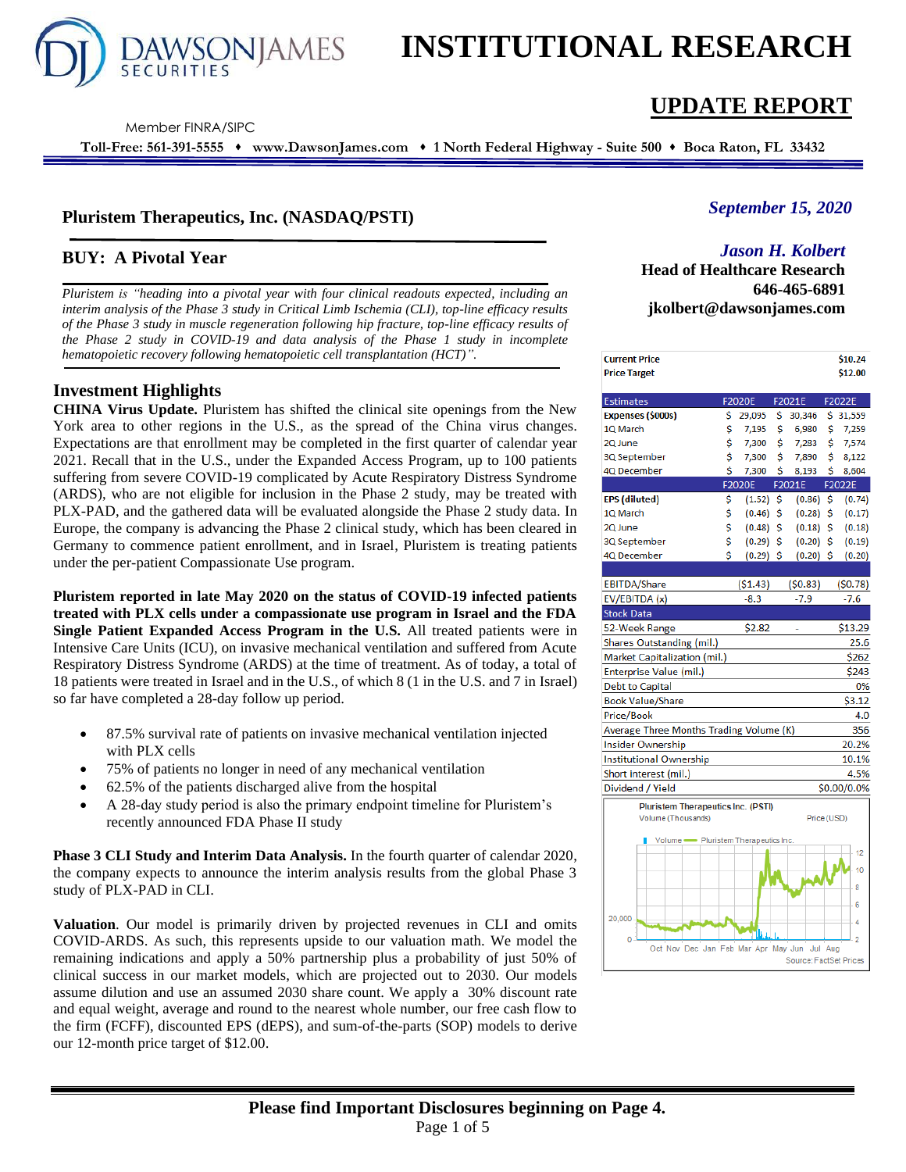

# **INSTITUTIONAL RESEARCH**

Member FINRA/SIPC

**Toll-Free: 561-391-5555** ⬧ **www.DawsonJames.com** ⬧ **1 North Federal Highway - Suite 500** ⬧ **Boca Raton, FL 33432**

## **Pluristem Therapeutics, Inc. (NASDAQ/PSTI)**

## **BUY: A Pivotal Year**

*Pluristem is "heading into a pivotal year with four clinical readouts expected, including an interim analysis of the Phase 3 study in Critical Limb Ischemia (CLI), top-line efficacy results of the Phase 3 study in muscle regeneration following hip fracture, top-line efficacy results of the Phase 2 study in COVID-19 and data analysis of the Phase 1 study in incomplete hematopoietic recovery following hematopoietic cell transplantation (HCT)".*

## **Investment Highlights**

**CHINA Virus Update.** Pluristem has shifted the clinical site openings from the New York area to other regions in the U.S., as the spread of the China virus changes. Expectations are that enrollment may be completed in the first quarter of calendar year 2021. Recall that in the U.S., under the Expanded Access Program, up to 100 patients suffering from severe COVID-19 complicated by Acute Respiratory Distress Syndrome (ARDS), who are not eligible for inclusion in the Phase 2 study, may be treated with PLX-PAD, and the gathered data will be evaluated alongside the Phase 2 study data. In Europe, the company is advancing the Phase 2 clinical study, which has been cleared in Germany to commence patient enrollment, and in Israel, Pluristem is treating patients under the per-patient Compassionate Use program.

**Pluristem reported in late May 2020 on the status of COVID-19 infected patients treated with PLX cells under a compassionate use program in Israel and the FDA Single Patient Expanded Access Program in the U.S.** All treated patients were in Intensive Care Units (ICU), on invasive mechanical ventilation and suffered from Acute Respiratory Distress Syndrome (ARDS) at the time of treatment. As of today, a total of 18 patients were treated in Israel and in the U.S., of which 8 (1 in the U.S. and 7 in Israel) so far have completed a 28-day follow up period.

- 87.5% survival rate of patients on invasive mechanical ventilation injected with PLX cells
- 75% of patients no longer in need of any mechanical ventilation
- 62.5% of the patients discharged alive from the hospital
- A 28-day study period is also the primary endpoint timeline for Pluristem's recently announced FDA Phase II study

**Phase 3 CLI Study and Interim Data Analysis.** In the fourth quarter of calendar 2020, the company expects to announce the interim analysis results from the global Phase 3 study of PLX-PAD in CLI.

**Valuation**. Our model is primarily driven by projected revenues in CLI and omits COVID-ARDS. As such, this represents upside to our valuation math. We model the remaining indications and apply a 50% partnership plus a probability of just 50% of clinical success in our market models, which are projected out to 2030. Our models assume dilution and use an assumed 2030 share count. We apply a 30% discount rate and equal weight, average and round to the nearest whole number, our free cash flow to the firm (FCFF), discounted EPS (dEPS), and sum-of-the-parts (SOP) models to derive our 12-month price target of \$12.00.

## *September 15, 2020*

## *Jason H. Kolbert*

**Head of Healthcare Research 646-465-6891 jkolbert@dawsonjames.com**

**UPDATE REPORT**

| <b>Current Price</b><br><b>Price Target</b>                     |    |               |    |             |     | \$10.24<br>\$12.00 |  |  |
|-----------------------------------------------------------------|----|---------------|----|-------------|-----|--------------------|--|--|
|                                                                 |    |               |    |             |     |                    |  |  |
| <b>Estimates</b>                                                |    | F2020E        |    | F2021E      |     | F2022E             |  |  |
| Expenses (\$000s)                                               | \$ | 29,095        | \$ | 30,346      | \$. | 31,559             |  |  |
| 1Q March                                                        | \$ | 7,195         | \$ | 6,980       | \$  | 7,259              |  |  |
| 2Q June                                                         | \$ | 7,300         | \$ | 7,283       | \$  | 7,574              |  |  |
| 3Q September                                                    | Ś  | 7,300         | \$ | 7,890       | \$  | 8,122              |  |  |
| 4Q December                                                     | \$ | 7,300         | \$ | 8,193       | \$  | 8,604              |  |  |
|                                                                 |    | <b>F2020E</b> |    | F2021E      |     | F2022E             |  |  |
| <b>EPS</b> (diluted)                                            | \$ | (1.52)        | \$ | (0.86)      | \$  | (0.74)             |  |  |
| 1Q March                                                        | Ś  | (0.46)        | \$ | (0.28)      | \$  | (0.17)             |  |  |
| 2Q June                                                         | \$ | (0.48)        | \$ | (0.18)      | \$  | (0.18)             |  |  |
| 3Q September                                                    | Ś  | (0.29)        | \$ | (0.20)      | \$  | (0.19)             |  |  |
| 4Q December                                                     | Ś  | $(0.29)$ \$   |    | $(0.20)$ \$ |     | (0.20)             |  |  |
|                                                                 |    |               |    |             |     |                    |  |  |
| <b>EBITDA/Share</b>                                             |    | (51.43)       |    | (50.83)     |     | (50.78)            |  |  |
| EV/EBITDA (x)                                                   |    | $-8.3$        |    | $-7.9$      |     | $-7.6$             |  |  |
| <b>Stock Data</b>                                               |    |               |    |             |     |                    |  |  |
| 52-Week Range                                                   |    | \$2.82        |    |             |     | \$13.29            |  |  |
| Shares Outstanding (mil.)                                       |    |               |    |             |     | 25.6               |  |  |
| Market Capitalization (mil.)<br>\$262                           |    |               |    |             |     |                    |  |  |
| Enterprise Value (mil.)<br>\$243                                |    |               |    |             |     |                    |  |  |
| 0%<br>Debt to Capital                                           |    |               |    |             |     |                    |  |  |
| <b>Book Value/Share</b><br>\$3.12                               |    |               |    |             |     |                    |  |  |
| Price/Book<br>4.0                                               |    |               |    |             |     |                    |  |  |
| Average Three Months Trading Volume (K)<br>356                  |    |               |    |             |     |                    |  |  |
| <b>Insider Ownership</b><br>20.2%                               |    |               |    |             |     |                    |  |  |
| <b>Institutional Ownership</b><br>10.1%                         |    |               |    |             |     |                    |  |  |
| Short interest (mil.)                                           |    |               |    |             |     | 4.5%               |  |  |
| Dividend / Yield                                                |    |               |    |             |     | \$0.00/0.0%        |  |  |
| <b>Pluristem Therapeutics Inc. (PSTI)</b><br>Volume (Thousands) |    |               |    | Price (USD) |     |                    |  |  |
|                                                                 |    |               |    |             |     |                    |  |  |
| Volume - Pluristem Therapeutics Inc.                            |    |               |    |             |     |                    |  |  |
| 12                                                              |    |               |    |             |     |                    |  |  |
| 10                                                              |    |               |    |             |     |                    |  |  |
|                                                                 |    |               |    |             |     | 8                  |  |  |
|                                                                 |    |               |    |             |     | 6                  |  |  |
| 20,000                                                          |    |               |    |             |     | 4                  |  |  |
| Ō                                                               |    |               |    |             |     | $\overline{2}$     |  |  |
| Oct Nov Dec Jan Feb Mar Apr May Jun<br>Jul Aug<br>EastCat Driv  |    |               |    |             |     |                    |  |  |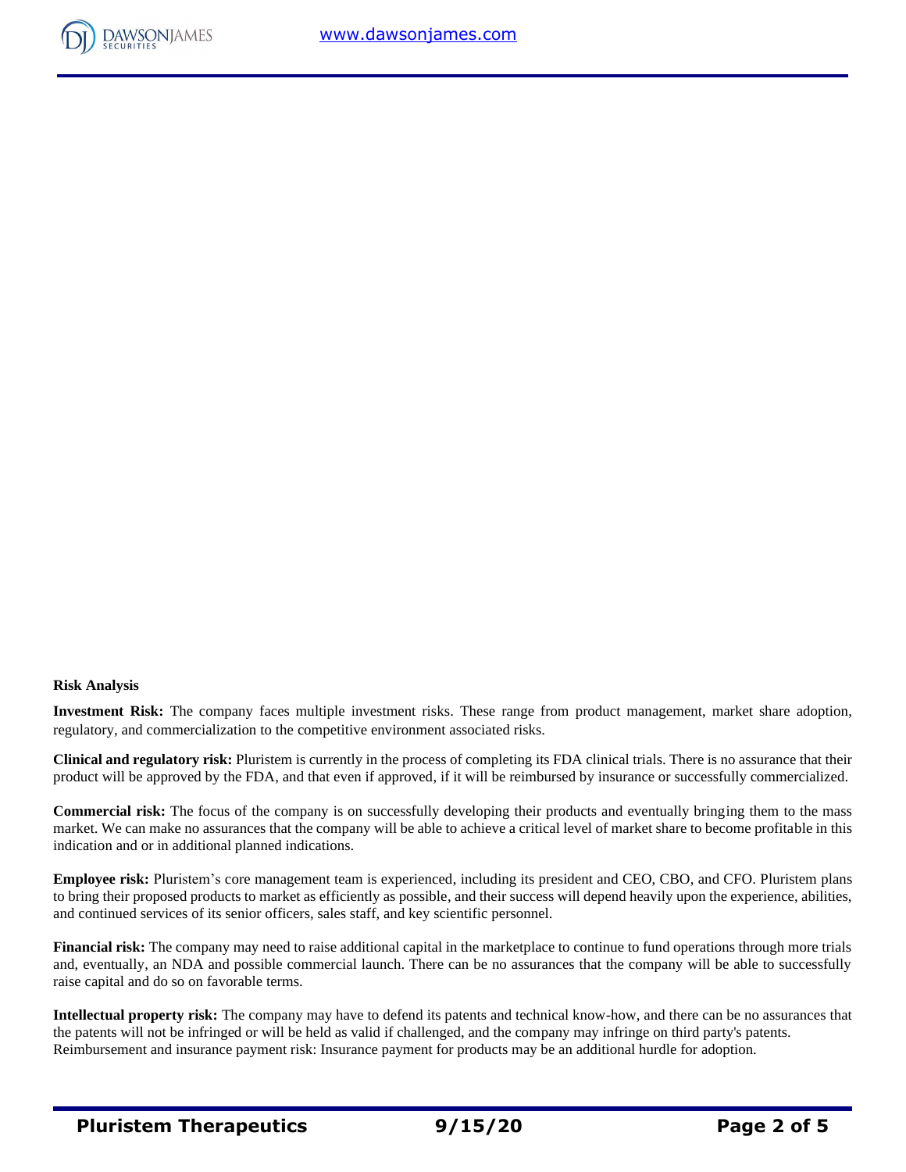

## **Risk Analysis**

**Investment Risk:** The company faces multiple investment risks. These range from product management, market share adoption, regulatory, and commercialization to the competitive environment associated risks.

**Clinical and regulatory risk:** Pluristem is currently in the process of completing its FDA clinical trials. There is no assurance that their product will be approved by the FDA, and that even if approved, if it will be reimbursed by insurance or successfully commercialized.

**Commercial risk:** The focus of the company is on successfully developing their products and eventually bringing them to the mass market. We can make no assurances that the company will be able to achieve a critical level of market share to become profitable in this indication and or in additional planned indications.

**Employee risk:** Pluristem's core management team is experienced, including its president and CEO, CBO, and CFO. Pluristem plans to bring their proposed products to market as efficiently as possible, and their success will depend heavily upon the experience, abilities, and continued services of its senior officers, sales staff, and key scientific personnel.

**Financial risk:** The company may need to raise additional capital in the marketplace to continue to fund operations through more trials and, eventually, an NDA and possible commercial launch. There can be no assurances that the company will be able to successfully raise capital and do so on favorable terms.

**Intellectual property risk:** The company may have to defend its patents and technical know-how, and there can be no assurances that the patents will not be infringed or will be held as valid if challenged, and the company may infringe on third party's patents. Reimbursement and insurance payment risk: Insurance payment for products may be an additional hurdle for adoption.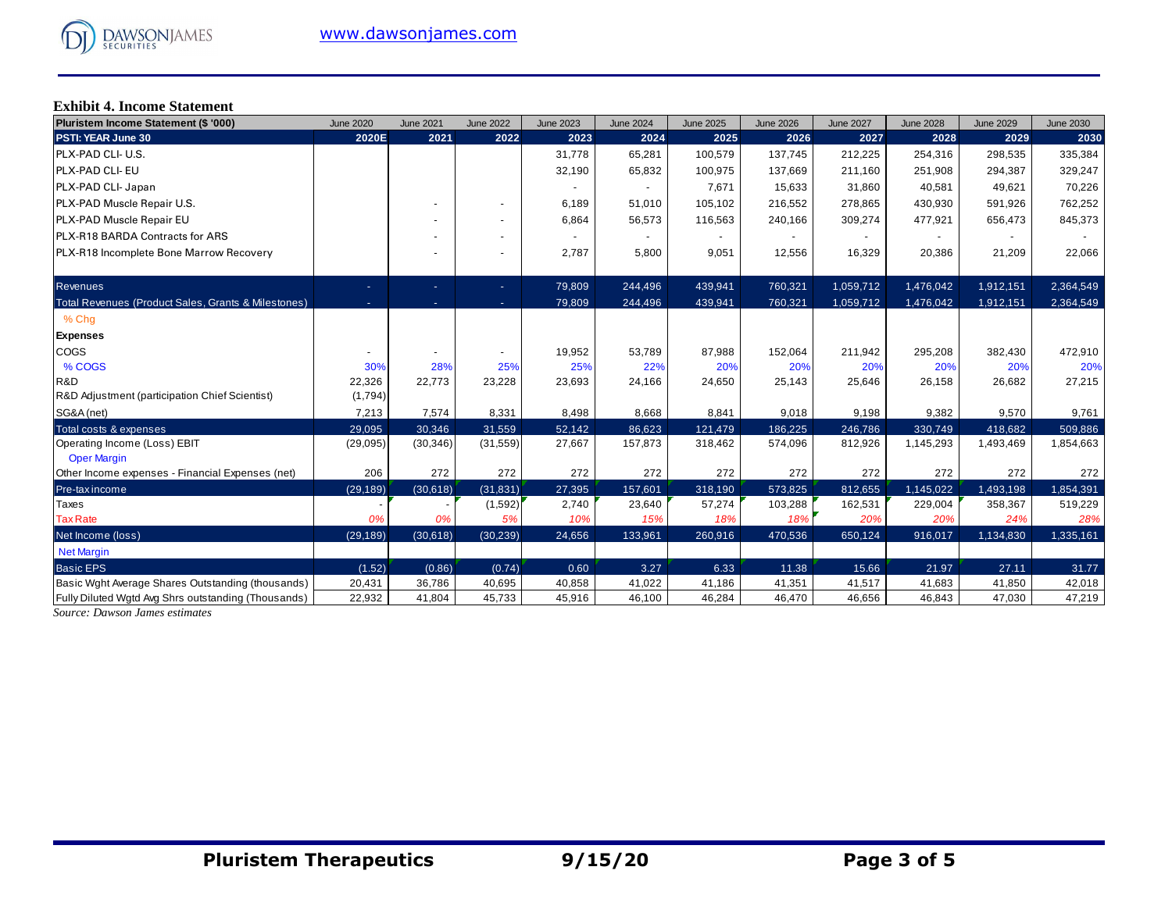## **Exhibit 4. Income Statement**

| Pluristem Income Statement (\$ '000)                | <b>June 2020</b> | <b>June 2021</b> | <b>June 2022</b>         | <b>June 2023</b> | <b>June 2024</b> | <b>June 2025</b> | <b>June 2026</b> | <b>June 2027</b> | <b>June 2028</b> | <b>June 2029</b> | <b>June 2030</b> |
|-----------------------------------------------------|------------------|------------------|--------------------------|------------------|------------------|------------------|------------------|------------------|------------------|------------------|------------------|
| PSTI: YEAR June 30                                  | 2020E            | 2021             | 2022                     | 2023             | 2024             | 2025             | 2026             | 2027             | 2028             | 2029             | 2030             |
| PLX-PAD CLI- U.S.                                   |                  |                  |                          | 31,778           | 65,281           | 100,579          | 137,745          | 212.225          | 254,316          | 298,535          | 335,384          |
| PLX-PAD CLI- EU                                     |                  |                  |                          | 32,190           | 65,832           | 100,975          | 137,669          | 211,160          | 251,908          | 294,387          | 329,247          |
| PLX-PAD CLI- Japan                                  |                  |                  |                          | $\sim$           |                  | 7,671            | 15,633           | 31,860           | 40,581           | 49,621           | 70,226           |
| PLX-PAD Muscle Repair U.S.                          |                  |                  |                          | 6,189            | 51,010           | 105,102          | 216,552          | 278,865          | 430,930          | 591,926          | 762,252          |
| PLX-PAD Muscle Repair EU                            |                  |                  | ٠                        | 6,864            | 56,573           | 116,563          | 240,166          | 309,274          | 477,921          | 656,473          | 845,373          |
| <b>PLX-R18 BARDA Contracts for ARS</b>              |                  |                  | ٠                        |                  |                  |                  |                  |                  |                  |                  |                  |
| PLX-R18 Incomplete Bone Marrow Recovery             |                  |                  | $\overline{\phantom{0}}$ | 2,787            | 5,800            | 9,051            | 12,556           | 16,329           | 20,386           | 21,209           | 22,066           |
| <b>Revenues</b>                                     | ٠                | ٠                | ÷.                       | 79,809           | 244,496          | 439,941          | 760,321          | 1,059,712        | 1,476,042        | 1,912,151        | 2,364,549        |
| Total Revenues (Product Sales, Grants & Milestones) | ٠                | ٠                | $\sim$                   | 79,809           | 244,496          | 439,941          | 760,321          | 1,059,712        | 1,476,042        | 1,912,151        | 2,364,549        |
| % Chq                                               |                  |                  |                          |                  |                  |                  |                  |                  |                  |                  |                  |
| <b>Expenses</b>                                     |                  |                  |                          |                  |                  |                  |                  |                  |                  |                  |                  |
| COGS                                                |                  |                  |                          | 19,952           | 53,789           | 87,988           | 152,064          | 211,942          | 295,208          | 382,430          | 472,910          |
| % COGS                                              | 30%              | 28%              | 25%                      | 25%              | 22%              | 20%              | 20%              | 20%              | 20%              | 20%              | 20%              |
| R&D                                                 | 22,326           | 22,773           | 23,228                   | 23,693           | 24,166           | 24,650           | 25,143           | 25,646           | 26,158           | 26,682           | 27,215           |
| R&D Adjustment (participation Chief Scientist)      | (1,794)          |                  |                          |                  |                  |                  |                  |                  |                  |                  |                  |
| SG&A (net)                                          | 7,213            | 7,574            | 8,331                    | 8,498            | 8,668            | 8,841            | 9,018            | 9,198            | 9,382            | 9,570            | 9,761            |
| Total costs & expenses                              | 29,095           | 30,346           | 31,559                   | 52,142           | 86,623           | 121,479          | 186,225          | 246,786          | 330,749          | 418,682          | 509,886          |
| Operating Income (Loss) EBIT<br><b>Oper Margin</b>  | (29,095)         | (30, 346)        | (31, 559)                | 27,667           | 157,873          | 318,462          | 574,096          | 812,926          | 1,145,293        | 1,493,469        | 1,854,663        |
| Other Income expenses - Financial Expenses (net)    | 206              | 272              | 272                      | 272              | 272              | 272              | 272              | 272              | 272              | 272              | 272              |
| Pre-tax income                                      | (29, 189)        | (30,618)         | (31, 831)                | 27,395           | 157,601          | 318,190          | 573,825          | 812,655          | 1,145,022        | 1,493,198        | 1,854,391        |
| Taxes                                               |                  |                  | (1,592)                  | 2,740            | 23,640           | 57,274           | 103,288          | 162,531          | 229,004          | 358,367          | 519,229          |
| <b>Tax Rate</b>                                     | 0%               | 0%               | 5%                       | 10%              | 15%              | 18%              | 18%              | 20%              | 20%              | 24%              | 28%              |
| Net Income (loss)                                   | (29, 189)        | (30,618)         | (30, 239)                | 24,656           | 133,961          | 260,916          | 470,536          | 650,124          | 916,017          | 1,134,830        | 1,335,161        |
| <b>Net Margin</b>                                   |                  |                  |                          |                  |                  |                  |                  |                  |                  |                  |                  |
| <b>Basic EPS</b>                                    | (1.52)           | (0.86)           | (0.74)                   | 0.60             | 3.27             | 6.33             | 11.38            | 15.66            | 21.97            | 27.11            | 31.77            |
| Basic Wght Average Shares Outstanding (thousands)   | 20,431           | 36,786           | 40,695                   | 40,858           | 41,022           | 41,186           | 41,351           | 41,517           | 41,683           | 41,850           | 42,018           |
| Fully Diluted Wgtd Avg Shrs outstanding (Thousands) | 22,932           | 41,804           | 45,733                   | 45,916           | 46,100           | 46,284           | 46,470           | 46.656           | 46,843           | 47,030           | 47,219           |

*Source: Dawson James estimates*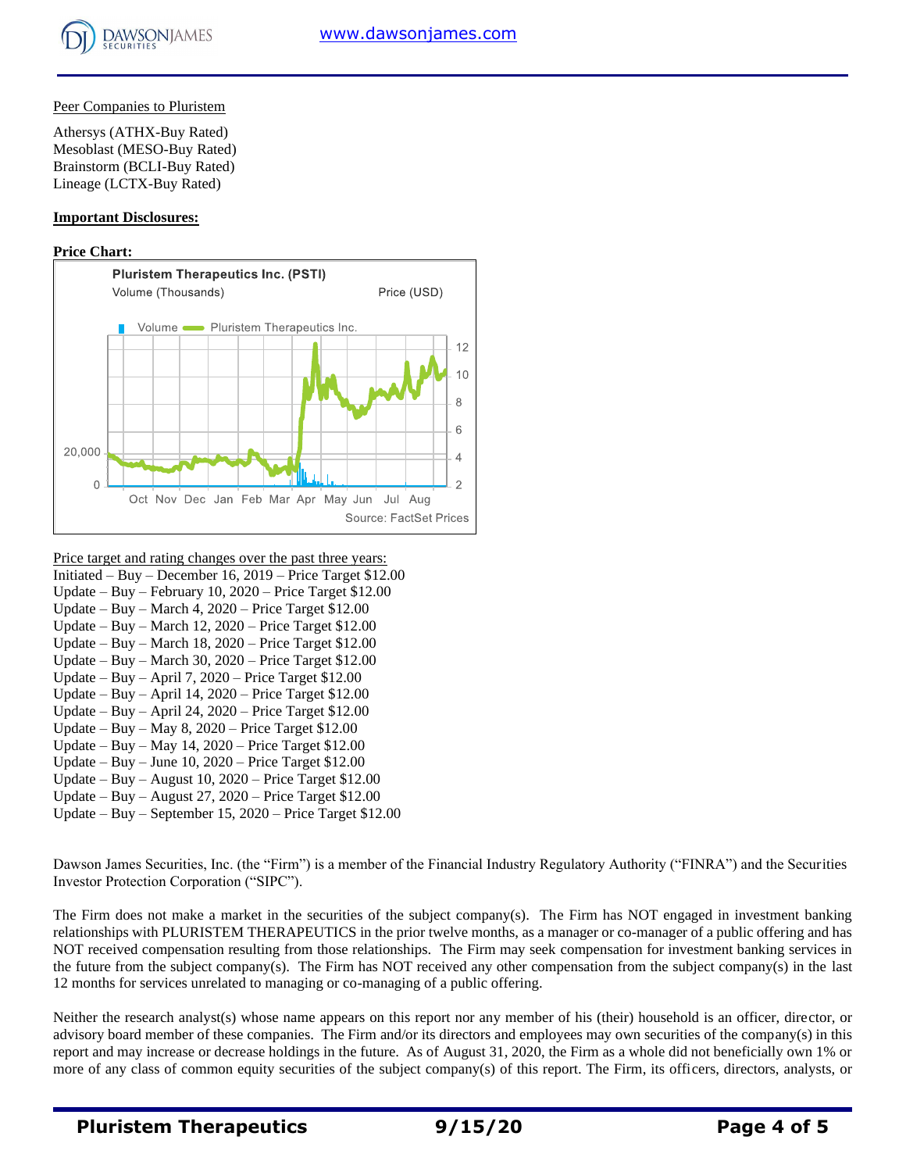## Peer Companies to Pluristem

Athersys (ATHX-Buy Rated) Mesoblast (MESO-Buy Rated) Brainstorm (BCLI-Buy Rated) Lineage (LCTX-Buy Rated)

## **Important Disclosures:**

## **Price Chart:**



- Price target and rating changes over the past three years:
- Initiated Buy December 16, 2019 Price Target \$12.00 Update – Buy – February 10, 2020 – Price Target \$12.00 Update – Buy – March 4, 2020 – Price Target \$12.00 Update – Buy – March 12, 2020 – Price Target \$12.00 Update – Buy – March 18, 2020 – Price Target \$12.00
- Update Buy March 30, 2020 Price Target \$12.00
- Update Buy April 7, 2020 Price Target \$12.00
- Update Buy April 14, 2020 Price Target \$12.00
- Update Buy April 24, 2020 Price Target \$12.00
- Update Buy May 8, 2020 Price Target \$12.00 Update – Buy – May 14, 2020 – Price Target \$12.00
- Update Buy June 10, 2020 Price Target \$12.00
- Update Buy August 10, 2020 Price Target \$12.00
- Update Buy August 27, 2020 Price Target \$12.00
- Update Buy September 15, 2020 Price Target \$12.00

Dawson James Securities, Inc. (the "Firm") is a member of the Financial Industry Regulatory Authority ("FINRA") and the Securities Investor Protection Corporation ("SIPC").

The Firm does not make a market in the securities of the subject company(s). The Firm has NOT engaged in investment banking relationships with PLURISTEM THERAPEUTICS in the prior twelve months, as a manager or co-manager of a public offering and has NOT received compensation resulting from those relationships. The Firm may seek compensation for investment banking services in the future from the subject company(s). The Firm has NOT received any other compensation from the subject company(s) in the last 12 months for services unrelated to managing or co-managing of a public offering.

Neither the research analyst(s) whose name appears on this report nor any member of his (their) household is an officer, director, or advisory board member of these companies. The Firm and/or its directors and employees may own securities of the company(s) in this report and may increase or decrease holdings in the future. As of August 31, 2020, the Firm as a whole did not beneficially own 1% or more of any class of common equity securities of the subject company(s) of this report. The Firm, its officers, directors, analysts, or